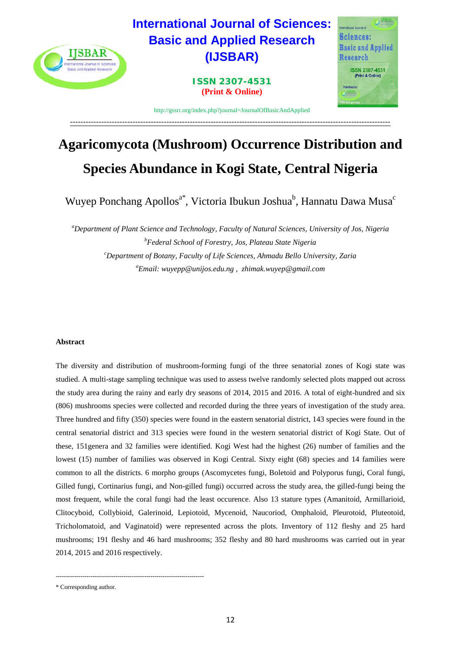

# **Agaricomycota (Mushroom) Occurrence Distribution and Species Abundance in Kogi State, Central Nigeria**

Wuyep Ponchang Apollos<sup>a\*</sup>, Victoria Ibukun Joshua<sup>b</sup>, Hannatu Dawa Musa<sup>c</sup>

*a Department of Plant Science and Technology, Faculty of Natural Sciences, University of Jos, Nigeria b Federal School of Forestry, Jos, Plateau State Nigeria c Department of Botany, Faculty of Life Sciences, Ahmadu Bello University, Zaria a Email: wuyepp@unijos.edu.ng , zhimak.wuyep@gmail.com*

# **Abstract**

The diversity and distribution of mushroom-forming fungi of the three senatorial zones of Kogi state was studied. A multi-stage sampling technique was used to assess twelve randomly selected plots mapped out across the study area during the rainy and early dry seasons of 2014, 2015 and 2016. A total of eight-hundred and six (806) mushrooms species were collected and recorded during the three years of investigation of the study area. Three hundred and fifty (350) species were found in the eastern senatorial district, 143 species were found in the central senatorial district and 313 species were found in the western senatorial district of Kogi State. Out of these, 151genera and 32 families were identified. Kogi West had the highest (26) number of families and the lowest (15) number of families was observed in Kogi Central. Sixty eight (68) species and 14 families were common to all the districts. 6 morpho groups (Ascomycetes fungi, Boletoid and Polyporus fungi, Coral fungi, Gilled fungi, Cortinarius fungi, and Non-gilled fungi) occurred across the study area, the gilled-fungi being the most frequent, while the coral fungi had the least occurence. Also 13 stature types (Amanitoid, Armillarioid, Clitocyboid, Collybioid, Galerinoid, Lepiotoid, Mycenoid, Naucoriod, Omphaloid, Pleurotoid, Pluteotoid, Tricholomatoid, and Vaginatoid) were represented across the plots. Inventory of 112 fleshy and 25 hard mushrooms; 191 fleshy and 46 hard mushrooms; 352 fleshy and 80 hard mushrooms was carried out in year 2014, 2015 and 2016 respectively.

------------------------------------------------------------------------

<sup>\*</sup> Corresponding author.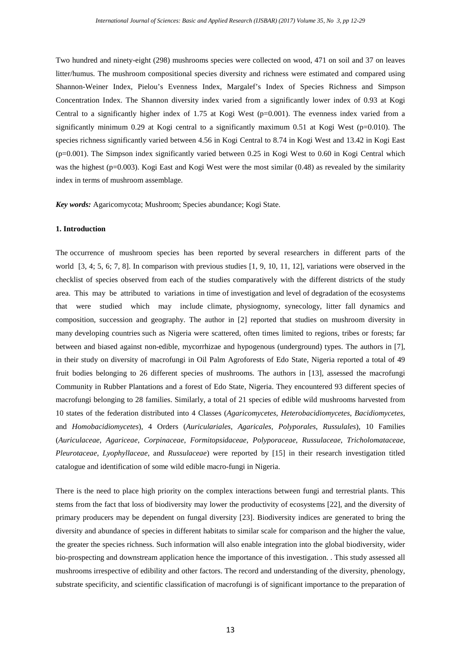Two hundred and ninety-eight (298) mushrooms species were collected on wood, 471 on soil and 37 on leaves litter/humus. The mushroom compositional species diversity and richness were estimated and compared using Shannon-Weiner Index, Pielou's Evenness Index, Margalef's Index of Species Richness and Simpson Concentration Index. The Shannon diversity index varied from a significantly lower index of 0.93 at Kogi Central to a significantly higher index of 1.75 at Kogi West (p=0.001). The evenness index varied from a significantly minimum 0.29 at Kogi central to a significantly maximum 0.51 at Kogi West ( $p=0.010$ ). The species richness significantly varied between 4.56 in Kogi Central to 8.74 in Kogi West and 13.42 in Kogi East (p=0.001). The Simpson index significantly varied between 0.25 in Kogi West to 0.60 in Kogi Central which was the highest (p=0.003). Kogi East and Kogi West were the most similar (0.48) as revealed by the similarity index in terms of mushroom assemblage.

*Key words:* Agaricomycota; Mushroom; Species abundance; Kogi State.

#### **1. Introduction**

The occurrence of mushroom species has been reported by several researchers in different parts of the world [3, 4; 5, 6; 7, 8]. In comparison with previous studies [1, 9, 10, 11, 12], variations were observed in the checklist of species observed from each of the studies comparatively with the different districts of the study area. This may be attributed to variations in time of investigation and level of degradation of the ecosystems that were studied which may include climate, physiognomy, synecology, litter fall dynamics and composition, succession and geography. The author in [2] reported that studies on mushroom diversity in many developing countries such as Nigeria were scattered, often times limited to regions, tribes or forests; far between and biased against non-edible, mycorrhizae and hypogenous (underground) types. The authors in [7], in their study on diversity of macrofungi in Oil Palm Agroforests of Edo State, Nigeria reported a total of 49 fruit bodies belonging to 26 different species of mushrooms. The authors in [13], assessed the macrofungi Community in Rubber Plantations and a forest of Edo State, Nigeria. They encountered 93 different species of macrofungi belonging to 28 families. Similarly, a total of 21 species of edible wild mushrooms harvested from 10 states of the federation distributed into 4 Classes (*Agaricomycetes*, *Heterobacidiomycetes*, *Bacidiomycetes*, and *Homobacidiomycetes*), 4 Orders (*Auriculariales*, *Agaricales*, *Polyporales*, *Russulales*), 10 Families (*Auriculaceae*, *Agariceae*, *Corpinaceae*, *Formitopsidaceae*, *Polyporaceae*, *Russulaceae*, *Tricholomataceae*, *Pleurotaceae*, *Lyophyllaceae*, and *Russulaceae*) were reported by [15] in their research investigation titled catalogue and identification of some wild edible macro-fungi in Nigeria.

There is the need to place high priority on the complex interactions between fungi and terrestrial plants. This stems from the fact that loss of biodiversity may lower the productivity of ecosystems [22], and the diversity of primary producers may be dependent on fungal diversity [23]. Biodiversity indices are generated to bring the diversity and abundance of species in different habitats to similar scale for comparison and the higher the value, the greater the species richness. Such information will also enable integration into the global biodiversity, wider bio-prospecting and downstream application hence the importance of this investigation. . This study assessed all mushrooms irrespective of edibility and other factors. The record and understanding of the diversity, phenology, substrate specificity, and scientific classification of macrofungi is of significant importance to the preparation of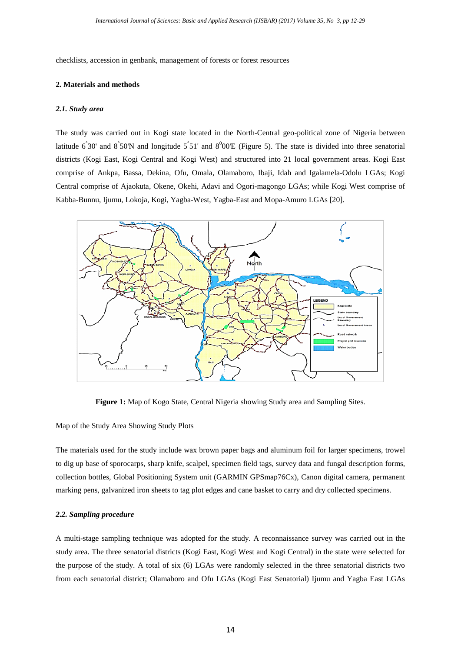checklists, accession in genbank, management of forests or forest resources

### **2. Materials and methods**

#### *2.1. Study area*

The study was carried out in Kogi state located in the North-Central geo-political zone of Nigeria between latitude  $6°30'$  and  $8°50'$ N and longitude  $5°51'$  and  $8°00'E$  (Figure 5). The state is divided into three senatorial districts (Kogi East, Kogi Central and Kogi West) and structured into 21 local government areas. Kogi East comprise of Ankpa, Bassa, Dekina, Ofu, Omala, Olamaboro, Ibaji, Idah and Igalamela-Odolu LGAs; Kogi Central comprise of Ajaokuta, Okene, Okehi, Adavi and Ogori-magongo LGAs; while Kogi West comprise of Kabba-Bunnu, Ijumu, Lokoja, Kogi, Yagba-West, Yagba-East and Mopa-Amuro LGAs [20].



**Figure 1:** Map of Kogo State, Central Nigeria showing Study area and Sampling Sites.

Map of the Study Area Showing Study Plots

The materials used for the study include wax brown paper bags and aluminum foil for larger specimens, trowel to dig up base of sporocarps, sharp knife, scalpel, specimen field tags, survey data and fungal description forms, collection bottles, Global Positioning System unit (GARMIN GPSmap76Cx), Canon digital camera, permanent marking pens, galvanized iron sheets to tag plot edges and cane basket to carry and dry collected specimens.

### *2.2. Sampling procedure*

A multi-stage sampling technique was adopted for the study. A reconnaissance survey was carried out in the study area. The three senatorial districts (Kogi East, Kogi West and Kogi Central) in the state were selected for the purpose of the study. A total of six (6) LGAs were randomly selected in the three senatorial districts two from each senatorial district; Olamaboro and Ofu LGAs (Kogi East Senatorial) Ijumu and Yagba East LGAs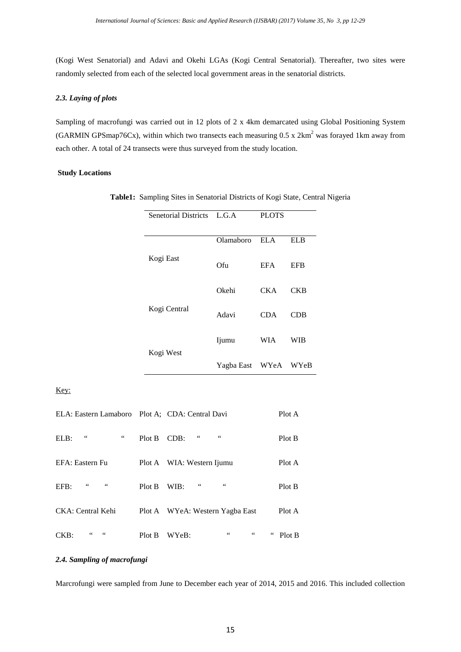(Kogi West Senatorial) and Adavi and Okehi LGAs (Kogi Central Senatorial). Thereafter, two sites were randomly selected from each of the selected local government areas in the senatorial districts.

# *2.3. Laying of plots*

Sampling of macrofungi was carried out in 12 plots of 2 x 4km demarcated using Global Positioning System (GARMIN GPSmap76Cx), within which two transects each measuring  $0.5 \times 2 \text{km}^2$  was forayed 1km away from each other. A total of 24 transects were thus surveyed from the study location.

# **Study Locations**

|    | Senetorial Districts L.G.A        |                      | <b>PLOTS</b> |            |
|----|-----------------------------------|----------------------|--------------|------------|
|    |                                   | Olamaboro            | <b>ELA</b>   | <b>ELB</b> |
|    | Kogi East                         | Ofu                  | <b>EFA</b>   | <b>EFB</b> |
|    |                                   | Okehi                | <b>CKA</b>   | <b>CKB</b> |
|    | Kogi Central                      | Adavi                | <b>CDA</b>   | CDB        |
|    | Kogi West                         | Ijumu                | WIA          | WIB        |
|    |                                   | Yagba East WYeA WYeB |              |            |
|    |                                   |                      |              |            |
| ro | Plot A; CDA: Central Davi         |                      |              | Plot A     |
|    | $\zeta$ $\zeta$<br>Plot B<br>CDB: | $\zeta$ $\zeta$      |              | Plot B     |

**Table1:** Sampling Sites in Senatorial Districts of Kogi State, Central Nigeria

Key:

| ELA: Eastern Lamaboro Plot A; CDA: Central Davi |        |                                 | Plot A |
|-------------------------------------------------|--------|---------------------------------|--------|
| $\leq$ $\leq$<br>66<br>ELB:                     | Plot B | $\zeta$ $\zeta$<br>66<br>CDB:   | Plot B |
| EFA: Eastern Fu                                 |        | Plot A WIA: Western Ijumu       | Plot A |
| 66<br>66<br>EFB:                                | Plot B | 66<br>66<br>WIB:                | Plot B |
| CKA: Central Kehi                               |        | Plot A WYeA: Western Yagba East | Plot A |
| 66<br>$CKB$ :                                   | Plot B | 66<br>66<br>WYeB:               | Plot B |

# *2.4. Sampling of macrofungi*

Marcrofungi were sampled from June to December each year of 2014, 2015 and 2016. This included collection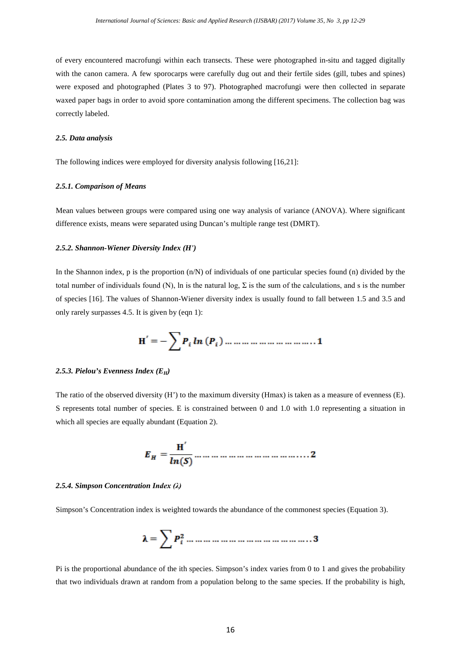of every encountered macrofungi within each transects. These were photographed in-situ and tagged digitally with the canon camera. A few sporocarps were carefully dug out and their fertile sides (gill, tubes and spines) were exposed and photographed (Plates 3 to 97). Photographed macrofungi were then collected in separate waxed paper bags in order to avoid spore contamination among the different specimens. The collection bag was correctly labeled.

#### *2.5. Data analysis*

The following indices were employed for diversity analysis following [16,21]:

#### *2.5.1. Comparison of Means*

Mean values between groups were compared using one way analysis of variance (ANOVA). Where significant difference exists, means were separated using Duncan's multiple range test (DMRT).

#### *2.5.2. Shannon-Wiener Diversity Index (H')*

In the Shannon index,  $p$  is the proportion  $(n/N)$  of individuals of one particular species found  $(n)$  divided by the total number of individuals found (N), ln is the natural log, Σ is the sum of the calculations, and s is the number of species [16]. The values of Shannon-Wiener diversity index is usually found to fall between 1.5 and 3.5 and only rarely surpasses 4.5. It is given by (eqn 1):

$$
H' = -\sum P_i \ln(P_i) \dots \dots \dots \dots \dots \dots \dots \dots \dots \dots 1
$$

#### *2.5.3. Pielou's Evenness Index (EH)*

The ratio of the observed diversity (H') to the maximum diversity (Hmax) is taken as a measure of evenness (E). S represents total number of species. E is constrained between 0 and 1.0 with 1.0 representing a situation in which all species are equally abundant (Equation 2).

#### *2.5.4. Simpson Concentration Index (λ)*

Simpson's Concentration index is weighted towards the abundance of the commonest species (Equation 3).

$$
\lambda = \sum P_i^2 \dots \dots \dots \dots \dots \dots \dots \dots \dots \dots \dots \dots 3
$$

Pi is the proportional abundance of the ith species. Simpson's index varies from 0 to 1 and gives the probability that two individuals drawn at random from a population belong to the same species. If the probability is high,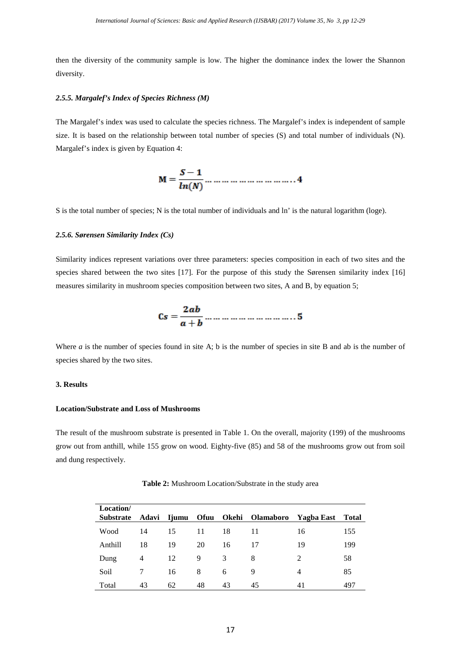then the diversity of the community sample is low. The higher the dominance index the lower the Shannon diversity.

#### *2.5.5. Margalef's Index of Species Richness (M)*

The Margalef's index was used to calculate the species richness. The Margalef's index is independent of sample size. It is based on the relationship between total number of species (S) and total number of individuals (N). Margalef's index is given by Equation 4:

$$
M=\frac{S-1}{ln(N)}\dots \dots \dots \dots \dots \dots \dots \dots \dots 4
$$

S is the total number of species; N is the total number of individuals and ln' is the natural logarithm (loge).

# *2.5.6. Sørensen Similarity Index (Cs)*

Similarity indices represent variations over three parameters: species composition in each of two sites and the species shared between the two sites [17]. For the purpose of this study the Sørensen similarity index [16] measures similarity in mushroom species composition between two sites, A and B, by equation 5;

$$
Cs = \frac{2ab}{a+b} \dots \dots \dots \dots \dots \dots \dots \dots \dots 5
$$

Where *a* is the number of species found in site A; b is the number of species in site B and ab is the number of species shared by the two sites.

# **3. Results**

# **Location/Substrate and Loss of Mushrooms**

The result of the mushroom substrate is presented in Table 1. On the overall, majority (199) of the mushrooms grow out from anthill, while 155 grow on wood. Eighty-five (85) and 58 of the mushrooms grow out from soil and dung respectively.

| Table 2: Mushroom Location/Substrate in the study area |  |  |  |  |
|--------------------------------------------------------|--|--|--|--|
|--------------------------------------------------------|--|--|--|--|

| Location/        |    |    |    |    |                                  |                |              |
|------------------|----|----|----|----|----------------------------------|----------------|--------------|
| <b>Substrate</b> |    |    |    |    | Adavi Ijumu Ofuu Okehi Olamaboro | Yagba East     | <b>Total</b> |
| Wood             | 14 | 15 | 11 | 18 | 11                               | 16             | 155          |
| Anthill          | 18 | 19 | 20 | 16 | 17                               | 19             | 199          |
| Dung             | 4  | 12 | 9  | 3  | 8                                | $\overline{c}$ | 58           |
| Soil             |    | 16 | 8  | 6  | 9                                | 4              | 85           |
| Total            | 43 | 62 | 48 | 43 | 45                               | 41             | 497          |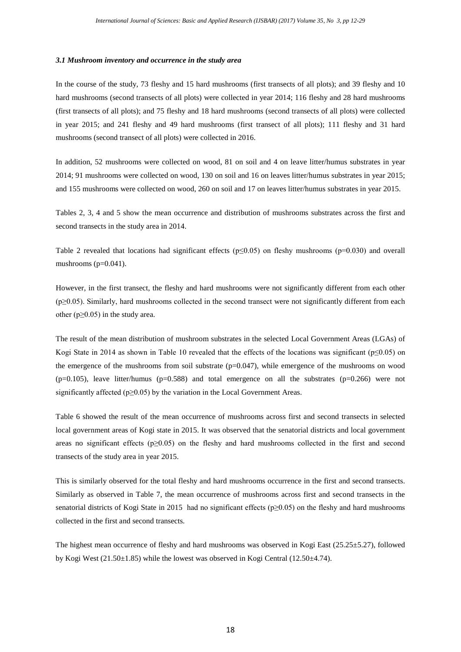#### *3.1 Mushroom inventory and occurrence in the study area*

In the course of the study, 73 fleshy and 15 hard mushrooms (first transects of all plots); and 39 fleshy and 10 hard mushrooms (second transects of all plots) were collected in year 2014; 116 fleshy and 28 hard mushrooms (first transects of all plots); and 75 fleshy and 18 hard mushrooms (second transects of all plots) were collected in year 2015; and 241 fleshy and 49 hard mushrooms (first transect of all plots); 111 fleshy and 31 hard mushrooms (second transect of all plots) were collected in 2016.

In addition, 52 mushrooms were collected on wood, 81 on soil and 4 on leave litter/humus substrates in year 2014; 91 mushrooms were collected on wood, 130 on soil and 16 on leaves litter/humus substrates in year 2015; and 155 mushrooms were collected on wood, 260 on soil and 17 on leaves litter/humus substrates in year 2015.

Tables 2, 3, 4 and 5 show the mean occurrence and distribution of mushrooms substrates across the first and second transects in the study area in 2014.

Table 2 revealed that locations had significant effects (p≤0.05) on fleshy mushrooms (p=0.030) and overall mushrooms  $(p=0.041)$ .

However, in the first transect, the fleshy and hard mushrooms were not significantly different from each other  $(p\geq0.05)$ . Similarly, hard mushrooms collected in the second transect were not significantly different from each other ( $p \ge 0.05$ ) in the study area.

The result of the mean distribution of mushroom substrates in the selected Local Government Areas (LGAs) of Kogi State in 2014 as shown in Table 10 revealed that the effects of the locations was significant (p≤0.05) on the emergence of the mushrooms from soil substrate  $(p=0.047)$ , while emergence of the mushrooms on wood  $(p=0.105)$ , leave litter/humus ( $p=0.588$ ) and total emergence on all the substrates ( $p=0.266$ ) were not significantly affected ( $p \ge 0.05$ ) by the variation in the Local Government Areas.

Table 6 showed the result of the mean occurrence of mushrooms across first and second transects in selected local government areas of Kogi state in 2015. It was observed that the senatorial districts and local government areas no significant effects ( $p\geq 0.05$ ) on the fleshy and hard mushrooms collected in the first and second transects of the study area in year 2015.

This is similarly observed for the total fleshy and hard mushrooms occurrence in the first and second transects. Similarly as observed in Table 7, the mean occurrence of mushrooms across first and second transects in the senatorial districts of Kogi State in 2015 had no significant effects (p≥0.05) on the fleshy and hard mushrooms collected in the first and second transects.

The highest mean occurrence of fleshy and hard mushrooms was observed in Kogi East (25.25±5.27), followed by Kogi West  $(21.50\pm1.85)$  while the lowest was observed in Kogi Central (12.50 $\pm$ 4.74).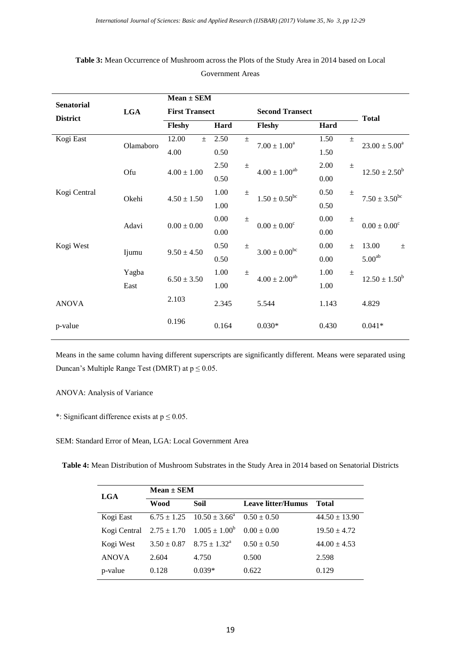|                   |            | $Mean \pm SEM$        |       |                |                               |       |              |                          |  |
|-------------------|------------|-----------------------|-------|----------------|-------------------------------|-------|--------------|--------------------------|--|
| <b>Senatorial</b> | <b>LGA</b> | <b>First Transect</b> |       |                | <b>Second Transect</b>        |       |              |                          |  |
| <b>District</b>   |            | Fleshy<br>Hard        |       | Hard<br>Fleshy |                               |       | <b>Total</b> |                          |  |
| Kogi East         | Olamaboro  | 12.00<br>$+$          | 2.50  | $\pm$          | $7.00 \pm 1.00^a$             | 1.50  | $\pm$        | $23.00 \pm 5.00^a$       |  |
|                   |            | 4.00                  | 0.50  |                |                               | 1.50  |              |                          |  |
|                   | Ofu        | $4.00 \pm 1.00$       | 2.50  | $\pm$          | $4.00 \pm 1.00^{ab}$          | 2.00  | $\pm$        | $12.50 \pm 2.50^b$       |  |
|                   |            |                       | 0.50  |                |                               | 0.00  |              |                          |  |
| Kogi Central      | Okehi      |                       | 1.00  | $\pm$          | $1.50 \pm 0.50$ <sup>bc</sup> | 0.50  | $\pm$        | $7.50 \pm 3.50^{\rm bc}$ |  |
|                   |            | $4.50 \pm 1.50$       | 1.00  |                |                               | 0.50  |              |                          |  |
|                   | Adavi      | $0.00 \pm 0.00$       | 0.00  | $\pm$          | $0.00 \pm 0.00^c$             | 0.00  | $\pm$        | $0.00 \pm 0.00^c$        |  |
|                   |            |                       | 0.00  |                |                               | 0.00  |              |                          |  |
| Kogi West         | Ijumu      | $9.50 \pm 4.50$       | 0.50  | $\pm$          | $3.00 \pm 0.00^{bc}$          | 0.00  | $\pm$        | 13.00<br>$\pm$           |  |
|                   |            |                       | 0.50  |                |                               | 0.00  |              | 5.00 <sup>ab</sup>       |  |
|                   | Yagba      | $6.50 \pm 3.50$       | 1.00  | $\pm$          | $4.00 \pm 2.00^{ab}$          | 1.00  | $\pm$        | $12.50 \pm 1.50^b$       |  |
|                   | East       |                       | 1.00  |                |                               | 1.00  |              |                          |  |
| <b>ANOVA</b>      |            | 2.103                 | 2.345 |                | 5.544                         | 1.143 |              | 4.829                    |  |
| p-value           |            | 0.196                 | 0.164 |                | $0.030*$                      | 0.430 |              | $0.041*$                 |  |

# **Table 3:** Mean Occurrence of Mushroom across the Plots of the Study Area in 2014 based on Local Government Areas

Means in the same column having different superscripts are significantly different. Means were separated using Duncan's Multiple Range Test (DMRT) at  $p \le 0.05$ .

# ANOVA: Analysis of Variance

\*: Significant difference exists at  $p \le 0.05$ .

SEM: Standard Error of Mean, LGA: Local Government Area

**Table 4:** Mean Distribution of Mushroom Substrates in the Study Area in 2014 based on Senatorial Districts

| <b>LGA</b>   | $Mean \pm SEM$  |                                                          |                           |                   |  |  |  |  |  |
|--------------|-----------------|----------------------------------------------------------|---------------------------|-------------------|--|--|--|--|--|
|              | Wood            | Soil                                                     | <b>Leave litter/Humus</b> | Total             |  |  |  |  |  |
| Kogi East    |                 | $6.75 \pm 1.25$ $10.50 \pm 3.66^{\circ}$ $0.50 \pm 0.50$ |                           | $44.50 \pm 13.90$ |  |  |  |  |  |
| Kogi Central | $2.75 \pm 1.70$ | $1.005 \pm 1.00^b$                                       | $0.00 \pm 0.00$           | $19.50 \pm 4.72$  |  |  |  |  |  |
| Kogi West    | $3.50 \pm 0.87$ | $8.75 \pm 1.32^{\circ}$                                  | $0.50 \pm 0.50$           | $44.00 \pm 4.53$  |  |  |  |  |  |
| <b>ANOVA</b> | 2.604           | 4.750                                                    | 0.500                     | 2.598             |  |  |  |  |  |
| p-value      | 0.128           | $0.039*$                                                 | 0.622                     | 0.129             |  |  |  |  |  |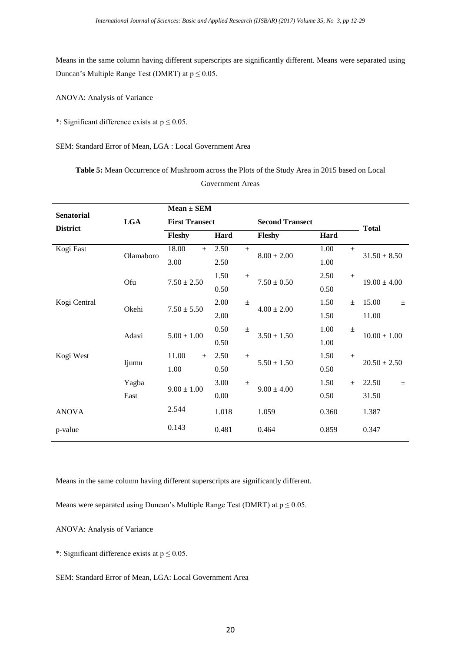Means in the same column having different superscripts are significantly different. Means were separated using Duncan's Multiple Range Test (DMRT) at  $p \le 0.05$ .

ANOVA: Analysis of Variance

\*: Significant difference exists at  $p \le 0.05$ .

SEM: Standard Error of Mean, LGA : Local Government Area

**Table 5:** Mean Occurrence of Mushroom across the Plots of the Study Area in 2015 based on Local Government Areas

|                   |            | $Mean \pm SEM$                  |       |                          |                        |       |                  |                  |  |
|-------------------|------------|---------------------------------|-------|--------------------------|------------------------|-------|------------------|------------------|--|
| <b>Senatorial</b> | <b>LGA</b> | <b>First Transect</b>           |       |                          | <b>Second Transect</b> |       |                  |                  |  |
| <b>District</b>   |            | Fleshy<br>Hard                  |       |                          | Fleshy                 | Hard  |                  | <b>Total</b>     |  |
| Kogi East         | Olamaboro  | 18.00<br>$\pm$                  | 2.50  | $\pm$                    | $8.00 \pm 2.00$        | 1.00  | $\pm$            | $31.50 \pm 8.50$ |  |
|                   |            | 3.00                            | 2.50  |                          |                        | 1.00  |                  |                  |  |
|                   | Ofu        | $7.50 \pm 2.50$                 | 1.50  | $\pm$                    | $7.50 \pm 0.50$        | 2.50  | $\pm$            | $19.00 \pm 4.00$ |  |
|                   |            |                                 | 0.50  |                          |                        | 0.50  |                  |                  |  |
| Kogi Central      | Okehi      | $7.50 \pm 5.50$                 | 2.00  | $\pm$                    | $4.00 \pm 2.00$        | 1.50  | $\pm$            | 15.00<br>$\pm$   |  |
|                   |            |                                 | 2.00  |                          |                        | 1.50  |                  | 11.00            |  |
|                   | Adavi      | $5.00 \pm 1.00$                 | 0.50  | $\pm$<br>$3.50 \pm 1.50$ | 1.00                   | $\pm$ | $10.00 \pm 1.00$ |                  |  |
|                   |            |                                 | 0.50  |                          |                        | 1.00  |                  |                  |  |
| Kogi West         | Ijumu      | 11.00<br>2.50<br>$\pm$<br>$\pm$ |       |                          | $5.50 \pm 1.50$        | 1.50  | $\pm$            | $20.50 \pm 2.50$ |  |
|                   |            | 1.00                            | 0.50  |                          |                        | 0.50  |                  |                  |  |
|                   | Yagba      | $9.00 \pm 1.00$                 | 3.00  | $\pm$                    | $9.00 \pm 4.00$        | 1.50  | $\pm$            | 22.50<br>$\pm$   |  |
|                   | East       |                                 | 0.00  |                          |                        | 0.50  |                  | 31.50            |  |
| <b>ANOVA</b>      |            | 2.544                           | 1.018 |                          | 1.059                  | 0.360 |                  | 1.387            |  |
| p-value           |            | 0.143                           | 0.481 |                          | 0.464                  | 0.859 |                  | 0.347            |  |

Means in the same column having different superscripts are significantly different.

Means were separated using Duncan's Multiple Range Test (DMRT) at  $p \le 0.05$ .

ANOVA: Analysis of Variance

\*: Significant difference exists at  $p \le 0.05$ .

SEM: Standard Error of Mean, LGA: Local Government Area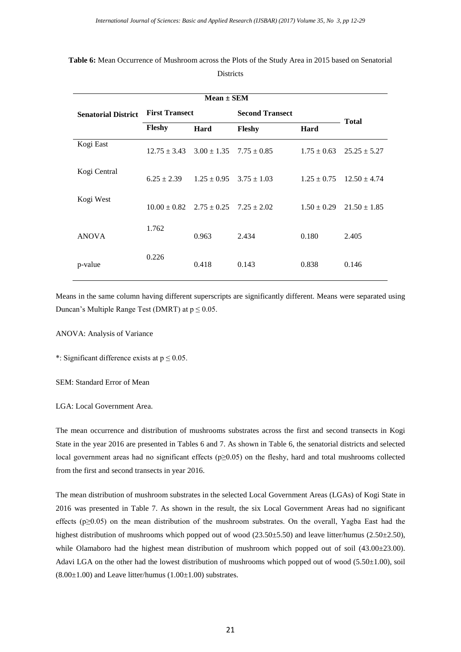| <b>Senatorial District</b> | <b>First Transect</b> |                                                  | <b>Second Transect</b> |                 |                  |
|----------------------------|-----------------------|--------------------------------------------------|------------------------|-----------------|------------------|
|                            | Fleshy                | Hard                                             | <b>Fleshy</b>          | Hard            | <b>Total</b>     |
| Kogi East                  |                       | $12.75 \pm 3.43$ $3.00 \pm 1.35$ $7.75 \pm 0.85$ |                        | $1.75 \pm 0.63$ | $25.25 \pm 5.27$ |
| Kogi Central               | $6.25 \pm 2.39$       | $1.25 \pm 0.95$ $3.75 \pm 1.03$                  |                        | $1.25 \pm 0.75$ | $12.50 \pm 4.74$ |
| Kogi West                  |                       | $10.00 + 0.82$ $2.75 + 0.25$ $7.25 + 2.02$       |                        | $1.50 \pm 0.29$ | $21.50 \pm 1.85$ |
| <b>ANOVA</b>               | 1.762                 | 0.963                                            | 2.434                  | 0.180           | 2.405            |
| p-value                    | 0.226                 | 0.418                                            | 0.143                  | 0.838           | 0.146            |

# **Table 6:** Mean Occurrence of Mushroom across the Plots of the Study Area in 2015 based on Senatorial **Districts**

Means in the same column having different superscripts are significantly different. Means were separated using Duncan's Multiple Range Test (DMRT) at  $p \le 0.05$ .

ANOVA: Analysis of Variance

\*: Significant difference exists at  $p \le 0.05$ .

SEM: Standard Error of Mean

LGA: Local Government Area.

The mean occurrence and distribution of mushrooms substrates across the first and second transects in Kogi State in the year 2016 are presented in Tables 6 and 7. As shown in Table 6, the senatorial districts and selected local government areas had no significant effects (p≥0.05) on the fleshy, hard and total mushrooms collected from the first and second transects in year 2016.

The mean distribution of mushroom substrates in the selected Local Government Areas (LGAs) of Kogi State in 2016 was presented in Table 7. As shown in the result, the six Local Government Areas had no significant effects (p≥0.05) on the mean distribution of the mushroom substrates. On the overall, Yagba East had the highest distribution of mushrooms which popped out of wood (23.50±5.50) and leave litter/humus (2.50±2.50), while Olamaboro had the highest mean distribution of mushroom which popped out of soil (43.00±23.00). Adavi LGA on the other had the lowest distribution of mushrooms which popped out of wood (5.50±1.00), soil  $(8.00\pm1.00)$  and Leave litter/humus  $(1.00\pm1.00)$  substrates.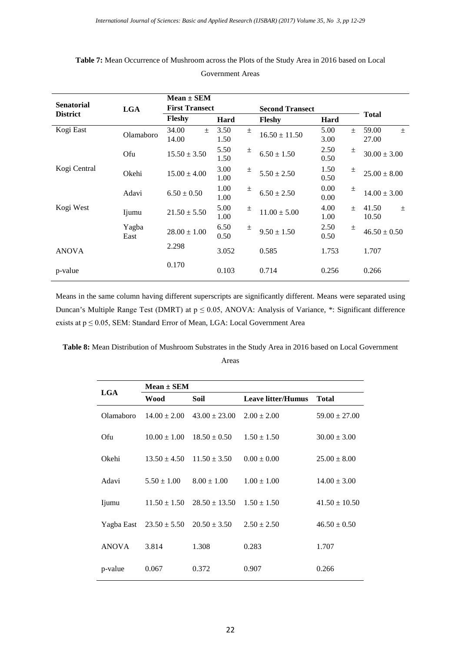| <b>Senatorial</b> | <b>LGA</b>    | $Mean \pm SEM$<br><b>First Transect</b> |              |       | <b>Second Transect</b> |              |       |                         |  |
|-------------------|---------------|-----------------------------------------|--------------|-------|------------------------|--------------|-------|-------------------------|--|
| <b>District</b>   |               | <b>Fleshy</b>                           | Hard         |       | Hard<br><b>Fleshy</b>  |              |       | <b>Total</b>            |  |
| Kogi East         | Olamaboro     | 34.00<br>$+$<br>14.00                   | 3.50<br>1.50 | $\pm$ | $16.50 \pm 11.50$      | 5.00<br>3.00 | $+$   | 59.00<br>$\pm$<br>27.00 |  |
|                   | Ofu           | $15.50 \pm 3.50$                        | 5.50<br>1.50 | $\pm$ | $6.50 \pm 1.50$        | 2.50<br>0.50 | 土     | $30.00 \pm 3.00$        |  |
| Kogi Central      | Okehi         | $15.00 \pm 4.00$                        | 3.00<br>1.00 | 土     | $5.50 \pm 2.50$        | 1.50<br>0.50 | $\pm$ | $25.00 \pm 8.00$        |  |
|                   | Adavi         | $6.50 \pm 0.50$                         | 1.00<br>1.00 | $\pm$ | $6.50 \pm 2.50$        | 0.00<br>0.00 | 土     | $14.00 \pm 3.00$        |  |
| Kogi West         | Ijumu         | $21.50 \pm 5.50$                        | 5.00<br>1.00 | $\pm$ | $11.00 \pm 5.00$       | 4.00<br>1.00 | $\pm$ | 41.50<br>$\pm$<br>10.50 |  |
|                   | Yagba<br>East | $28.00 \pm 1.00$                        | 6.50<br>0.50 | $\pm$ | $9.50 \pm 1.50$        | 2.50<br>0.50 | $\pm$ | $46.50 \pm 0.50$        |  |
| <b>ANOVA</b>      |               | 2.298                                   | 3.052        |       | 0.585                  | 1.753        |       | 1.707                   |  |
| p-value           |               | 0.170                                   | 0.103        |       | 0.714                  | 0.256        |       | 0.266                   |  |

# **Table 7:** Mean Occurrence of Mushroom across the Plots of the Study Area in 2016 based on Local

Government Areas

Means in the same column having different superscripts are significantly different. Means were separated using Duncan's Multiple Range Test (DMRT) at p ≤ 0.05, ANOVA: Analysis of Variance, \*: Significant difference exists at p ≤ 0.05, SEM: Standard Error of Mean, LGA: Local Government Area

**Table 8:** Mean Distribution of Mushroom Substrates in the Study Area in 2016 based on Local Government

|              | $Mean \pm SEM$              |                   |                           |                   |
|--------------|-----------------------------|-------------------|---------------------------|-------------------|
| <b>LGA</b>   | Wood                        | Soil              | <b>Leave litter/Humus</b> | <b>Total</b>      |
| Olamaboro    | $14.00 \pm 2.00$            | $43.00 \pm 23.00$ | $2.00 \pm 2.00$           | $59.00 \pm 27.00$ |
| Ofu          | $10.00 \pm 1.00$            | $18.50 \pm 0.50$  | $1.50 \pm 1.50$           | $30.00 \pm 3.00$  |
| Okehi        | $13.50 \pm 4.50$            | $11.50 \pm 3.50$  | $0.00 \pm 0.00$           | $25.00 \pm 8.00$  |
| Adavi        | $5.50 \pm 1.00$             | $8.00 \pm 1.00$   | $1.00 \pm 1.00$           | $14.00 \pm 3.00$  |
| Ijumu        | $11.50 \pm 1.50$            | $28.50 \pm 13.50$ | $1.50 \pm 1.50$           | $41.50 \pm 10.50$ |
|              | Yagba East $23.50 \pm 5.50$ | $20.50 \pm 3.50$  | $2.50 \pm 2.50$           | $46.50 \pm 0.50$  |
| <b>ANOVA</b> | 3.814                       | 1.308             | 0.283                     | 1.707             |
| p-value      | 0.067                       | 0.372             | 0.907                     | 0.266             |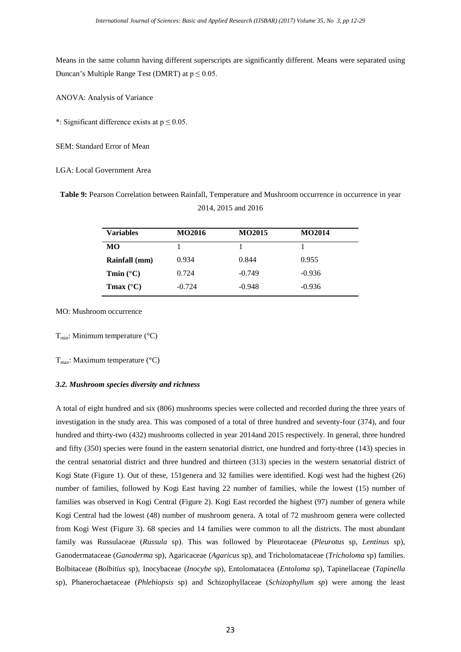Means in the same column having different superscripts are significantly different. Means were separated using Duncan's Multiple Range Test (DMRT) at  $p \le 0.05$ .

ANOVA: Analysis of Variance

\*: Significant difference exists at  $p \le 0.05$ .

SEM: Standard Error of Mean

LGA: Local Government Area

**Table 9:** Pearson Correlation between Rainfall, Temperature and Mushroom occurrence in occurrence in year 2014, 2015 and 2016

| <b>Variables</b>   | <b>MO2016</b> | <b>MO2015</b> | <b>MO2014</b> |
|--------------------|---------------|---------------|---------------|
| MО                 |               |               |               |
| Rainfall (mm)      | 0.934         | 0.844         | 0.955         |
| Tmin $(^{\circ}C)$ | 0.724         | $-0.749$      | $-0.936$      |
| Tmax $(^{\circ}C)$ | $-0.724$      | $-0.948$      | $-0.936$      |

MO: Mushroom occurrence

 $T_{min}$ : Minimum temperature (°C)

 $T_{\text{max}}$ : Maximum temperature (°C)

#### *3.2. Mushroom species diversity and richness*

A total of eight hundred and six (806) mushrooms species were collected and recorded during the three years of investigation in the study area. This was composed of a total of three hundred and seventy-four (374), and four hundred and thirty-two (432) mushrooms collected in year 2014and 2015 respectively. In general, three hundred and fifty (350) species were found in the eastern senatorial district, one hundred and forty-three (143) species in the central senatorial district and three hundred and thirteen (313) species in the western senatorial district of Kogi State (Figure 1). Out of these, 151genera and 32 families were identified. Kogi west had the highest (26) number of families, followed by Kogi East having 22 number of families, while the lowest (15) number of families was observed in Kogi Central (Figure 2). Kogi East recorded the highest (97) number of genera while Kogi Central had the lowest (48) number of mushroom genera. A total of 72 mushroom genera were collected from Kogi West (Figure 3). 68 species and 14 families were common to all the districts. The most abundant family was Russulaceae (*Russula* sp). This was followed by Pleurotaceae (*Pleurotus* sp, *Lentinus* sp), Ganodermataceae (*Ganoderma* sp), Agaricaceae (*Agaricus* sp), and Tricholomataceae (*Tricholoma* sp) families. Bolbitaceae (*Bolbitius* sp), Inocybaceae (*Inocybe* sp), Entolomatacea (*Entoloma* sp), Tapinellaceae (*Tapinella* sp), Phanerochaetaceae (*Phlebiopsis* sp) and Schizophyllaceae (*Schizophyllum sp*) were among the least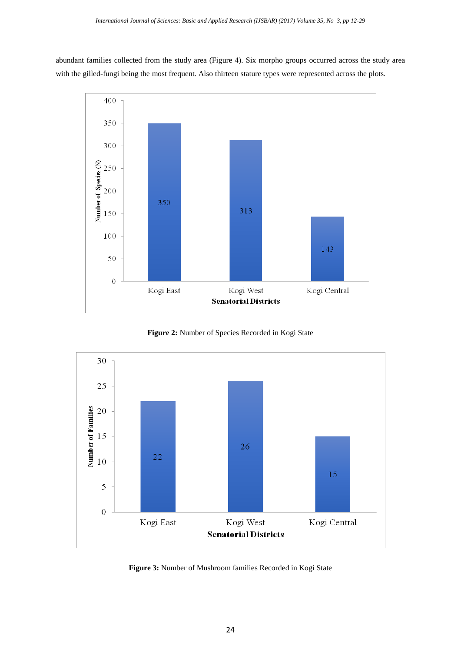abundant families collected from the study area (Figure 4). Six morpho groups occurred across the study area with the gilled-fungi being the most frequent. Also thirteen stature types were represented across the plots.







**Figure 3:** Number of Mushroom families Recorded in Kogi State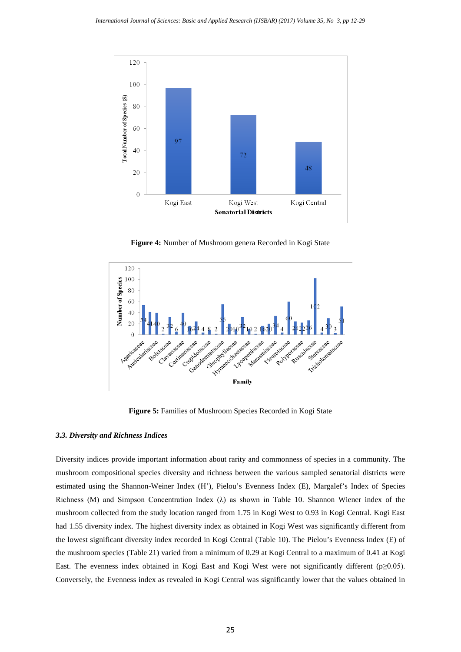

**Figure 4:** Number of Mushroom genera Recorded in Kogi State



**Figure 5:** Families of Mushroom Species Recorded in Kogi State

# *3.3. Diversity and Richness Indices*

Diversity indices provide important information about rarity and commonness of species in a community. The mushroom compositional species diversity and richness between the various sampled senatorial districts were estimated using the Shannon-Weiner Index (H'), Pielou's Evenness Index (E), Margalef's Index of Species Richness (M) and Simpson Concentration Index ( $\lambda$ ) as shown in Table 10. Shannon Wiener index of the mushroom collected from the study location ranged from 1.75 in Kogi West to 0.93 in Kogi Central. Kogi East had 1.55 diversity index. The highest diversity index as obtained in Kogi West was significantly different from the lowest significant diversity index recorded in Kogi Central (Table 10). The Pielou's Evenness Index (E) of the mushroom species (Table 21) varied from a minimum of 0.29 at Kogi Central to a maximum of 0.41 at Kogi East. The evenness index obtained in Kogi East and Kogi West were not significantly different (p≥0.05). Conversely, the Evenness index as revealed in Kogi Central was significantly lower that the values obtained in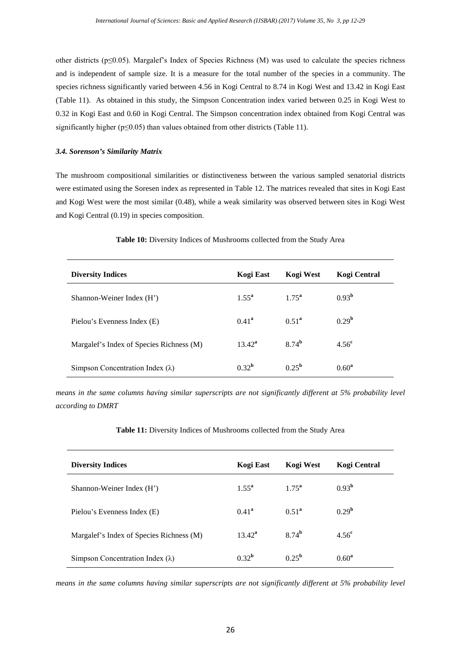other districts ( $p \le 0.05$ ). Margalef's Index of Species Richness (M) was used to calculate the species richness and is independent of sample size. It is a measure for the total number of the species in a community. The species richness significantly varied between 4.56 in Kogi Central to 8.74 in Kogi West and 13.42 in Kogi East (Table 11). As obtained in this study, the Simpson Concentration index varied between 0.25 in Kogi West to 0.32 in Kogi East and 0.60 in Kogi Central. The Simpson concentration index obtained from Kogi Central was significantly higher ( $p \le 0.05$ ) than values obtained from other districts (Table 11).

#### *3.4. Sorenson's Similarity Matrix*

The mushroom compositional similarities or distinctiveness between the various sampled senatorial districts were estimated using the Soresen index as represented in Table 12. The matrices revealed that sites in Kogi East and Kogi West were the most similar (0.48), while a weak similarity was observed between sites in Kogi West and Kogi Central (0.19) in species composition.

| <b>Diversity Indices</b>                 | Kogi East         | Kogi West      | <b>Kogi Central</b> |
|------------------------------------------|-------------------|----------------|---------------------|
| Shannon-Weiner Index (H')                | $1.55^{\rm a}$    | $1.75^{\rm a}$ | 0.93 <sup>b</sup>   |
| Pielou's Evenness Index (E)              | $0.41^{\rm a}$    | $0.51^{\rm a}$ | 0.29 <sup>b</sup>   |
| Margalef's Index of Species Richness (M) | $13.42^a$         | $8.74^{b}$     | 4.56 <sup>c</sup>   |
| Simpson Concentration Index $(\lambda)$  | 0.32 <sup>b</sup> | $0.25^{b}$     | $0.60^a$            |

**Table 10:** Diversity Indices of Mushrooms collected from the Study Area

*means in the same columns having similar superscripts are not significantly different at 5% probability level according to DMRT*

|  |  | Table 11: Diversity Indices of Mushrooms collected from the Study Area |
|--|--|------------------------------------------------------------------------|
|--|--|------------------------------------------------------------------------|

| <b>Diversity Indices</b>                 | Kogi East         | Kogi West      | Kogi Central      |
|------------------------------------------|-------------------|----------------|-------------------|
| Shannon-Weiner Index (H')                | $1.55^{\rm a}$    | $1.75^{\rm a}$ | 0.93 <sup>b</sup> |
| Pielou's Evenness Index (E)              | $0.41^{\rm a}$    | $0.51^{\rm a}$ | 0.29 <sup>b</sup> |
| Margalef's Index of Species Richness (M) | $13.42^a$         | $8.74^b$       | 4.56 <sup>c</sup> |
| Simpson Concentration Index $(\lambda)$  | 0.32 <sup>b</sup> | $0.25^{\rm b}$ | $0.60^{\rm a}$    |

*means in the same columns having similar superscripts are not significantly different at 5% probability level*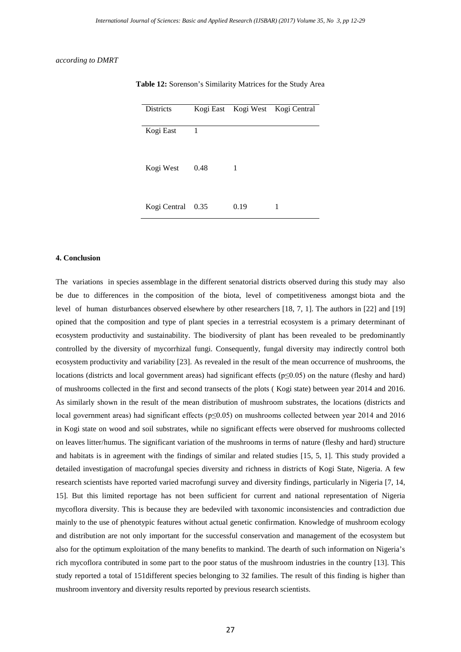#### *according to DMRT*

| <b>Districts</b> |      |      | Kogi East Kogi West Kogi Central |
|------------------|------|------|----------------------------------|
| Kogi East        | 1    |      |                                  |
| Kogi West        | 0.48 | 1    |                                  |
| Kogi Central     | 0.35 | 0.19 | 1                                |

**Table 12:** Sorenson's Similarity Matrices for the Study Area

#### **4. Conclusion**

The variations in species assemblage in the different senatorial districts observed during this study may also be due to differences in the composition of the biota, level of competitiveness amongst biota and the level of human disturbances observed elsewhere by other researchers [18, 7, 1]. The authors in [22] and [19] opined that the composition and type of plant species in a terrestrial ecosystem is a primary determinant of ecosystem productivity and sustainability. The biodiversity of plant has been revealed to be predominantly controlled by the diversity of mycorrhizal fungi. Consequently, fungal diversity may indirectly control both ecosystem productivity and variability [23]. As revealed in the result of the mean occurrence of mushrooms, the locations (districts and local government areas) had significant effects (p≤0.05) on the nature (fleshy and hard) of mushrooms collected in the first and second transects of the plots ( Kogi state) between year 2014 and 2016. As similarly shown in the result of the mean distribution of mushroom substrates, the locations (districts and local government areas) had significant effects (p≤0.05) on mushrooms collected between year 2014 and 2016 in Kogi state on wood and soil substrates, while no significant effects were observed for mushrooms collected on leaves litter/humus. The significant variation of the mushrooms in terms of nature (fleshy and hard) structure and habitats is in agreement with the findings of similar and related studies [15, 5, 1]. This study provided a detailed investigation of macrofungal species diversity and richness in districts of Kogi State, Nigeria. A few research scientists have reported varied macrofungi survey and diversity findings, particularly in Nigeria [7, 14, 15]. But this limited reportage has not been sufficient for current and national representation of Nigeria mycoflora diversity. This is because they are bedeviled with taxonomic inconsistencies and contradiction due mainly to the use of phenotypic features without actual genetic confirmation. Knowledge of mushroom ecology and distribution are not only important for the successful conservation and management of the ecosystem but also for the optimum exploitation of the many benefits to mankind. The dearth of such information on Nigeria's rich mycoflora contributed in some part to the poor status of the mushroom industries in the country [13]. This study reported a total of 151different species belonging to 32 families. The result of this finding is higher than mushroom inventory and diversity results reported by previous research scientists.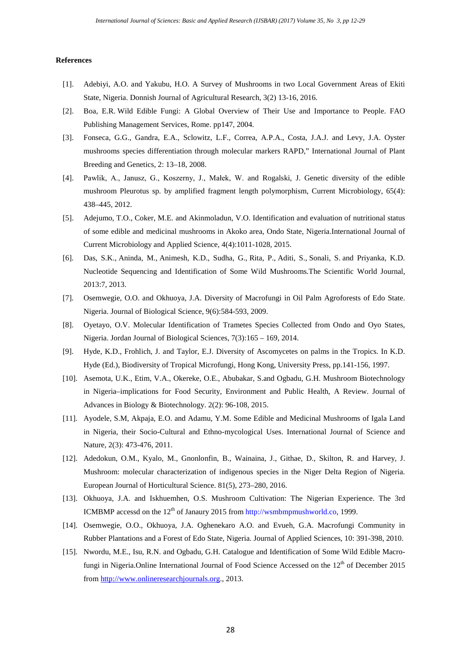#### **References**

- [1]. Adebiyi, A.O. and Yakubu, H.O. A Survey of Mushrooms in two Local Government Areas of Ekiti State, Nigeria. Donnish Journal of Agricultural Research, 3(2) 13-16, 2016.
- [2]. Boa, E.R. Wild Edible Fungi: A Global Overview of Their Use and Importance to People. FAO Publishing Management Services, Rome. pp147, 2004.
- [3]. Fonseca, G.G., Gandra, E.A., Sclowitz, L.F., Correa, A.P.A., Costa, J.A.J. and Levy, J.A. Oyster mushrooms species differentiation through molecular markers RAPD," International Journal of Plant Breeding and Genetics, 2: 13–18, 2008.
- [4]. Pawlik, A., Janusz, G., Koszerny, J., Małek, W. and Rogalski, J. Genetic diversity of the edible mushroom Pleurotus sp. by amplified fragment length polymorphism, Current Microbiology, 65(4): 438–445, 2012.
- [5]. Adejumo, T.O., Coker, M.E. and Akinmoladun, V.O. Identification and evaluation of nutritional status of some edible and medicinal mushrooms in Akoko area, Ondo State, Nigeria.International Journal of Current Microbiology and Applied Science, 4(4):1011-1028, 2015.
- [6]. Das, S.K., Aninda, M., Animesh, K.D., Sudha, G., Rita, P., Aditi, S., Sonali, S. and Priyanka, K.D. Nucleotide Sequencing and Identification of Some Wild Mushrooms.The Scientific World Journal, 2013:7, 2013.
- [7]. Osemwegie, O.O. and Okhuoya, J.A. Diversity of Macrofungi in Oil Palm Agroforests of Edo State. Nigeria. Journal of Biological Science, 9(6):584-593, 2009.
- [8]. Oyetayo, O.V. Molecular Identification of Trametes Species Collected from Ondo and Oyo States, Nigeria. Jordan Journal of Biological Sciences, 7(3):165 – 169, 2014.
- [9]. Hyde, K.D., Frohlich, J. and Taylor, E.J. Diversity of Ascomycetes on palms in the Tropics. In K.D. Hyde (Ed.), Biodiversity of Tropical Microfungi, Hong Kong, University Press, pp.141-156, 1997.
- [10]. Asemota, U.K., Etim, V.A., Okereke, O.E., Abubakar, S.and Ogbadu, G.H. Mushroom Biotechnology in Nigeria–implications for Food Security, Environment and Public Health, A Review. Journal of Advances in Biology & Biotechnology. 2(2): 96-108, 2015.
- [11]. Ayodele, S.M, Akpaja, E.O. and Adamu, Y.M. Some Edible and Medicinal Mushrooms of Igala Land in Nigeria, their Socio-Cultural and Ethno-mycological Uses. International Journal of Science and Nature, 2(3): 473-476, 2011.
- [12]. Adedokun, O.M., Kyalo, M., Gnonlonfin, B., Wainaina, J., Githae, D., Skilton, R. and Harvey, J. Mushroom: molecular characterization of indigenous species in the Niger Delta Region of Nigeria. European Journal of Horticultural Science. 81(5), 273–280, 2016.
- [13]. Okhuoya, J.A. and Iskhuemhen, O.S. Mushroom Cultivation: The Nigerian Experience. The 3rd ICMBMP accessd on the  $12<sup>th</sup>$  of Janaury 2015 from [http://wsmbmpmushworld.co,](http://wsmbmpmushworld.co/) 1999.
- [14]. Osemwegie, O.O., Okhuoya, J.A. Oghenekaro A.O. and Evueh, G.A. Macrofungi Community in Rubber Plantations and a Forest of Edo State, Nigeria. Journal of Applied Sciences, 10: 391-398, 2010.
- [15]. Nwordu, M.E., Isu, R.N. and Ogbadu, G.H. Catalogue and Identification of Some Wild Edible Macrofungi in Nigeria. Online International Journal of Food Science Accessed on the  $12<sup>th</sup>$  of December 2015 from [http://www.onlineresearchjournals.org.,](http://www.onlineresearchjournals.org/) 2013.